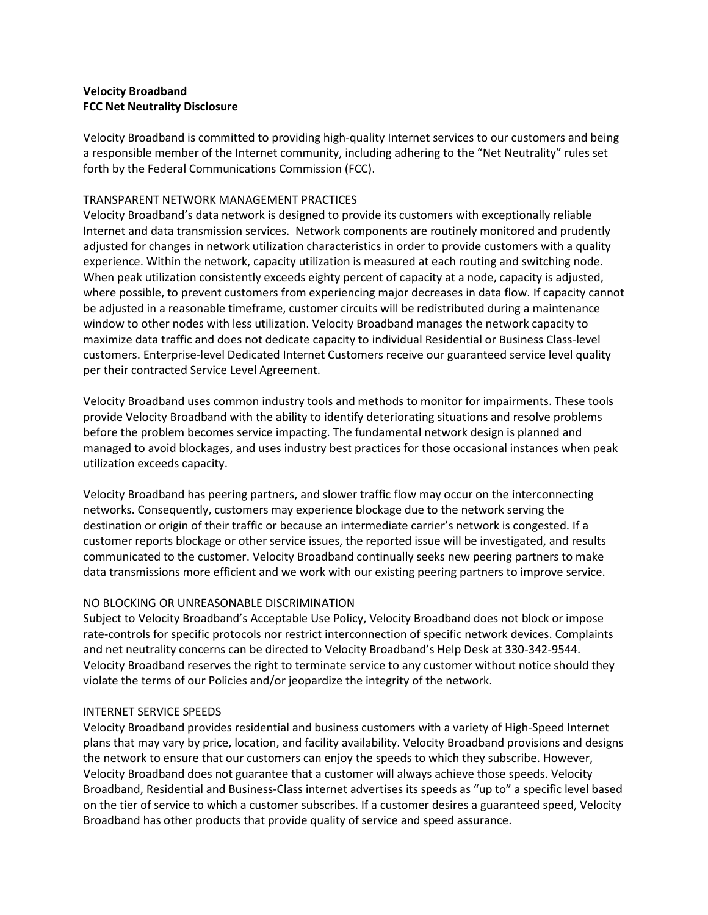## **Velocity Broadband FCC Net Neutrality Disclosure**

Velocity Broadband is committed to providing high-quality Internet services to our customers and being a responsible member of the Internet community, including adhering to the "Net Neutrality" rules set forth by the Federal Communications Commission (FCC).

### TRANSPARENT NETWORK MANAGEMENT PRACTICES

Velocity Broadband's data network is designed to provide its customers with exceptionally reliable Internet and data transmission services. Network components are routinely monitored and prudently adjusted for changes in network utilization characteristics in order to provide customers with a quality experience. Within the network, capacity utilization is measured at each routing and switching node. When peak utilization consistently exceeds eighty percent of capacity at a node, capacity is adjusted, where possible, to prevent customers from experiencing major decreases in data flow. If capacity cannot be adjusted in a reasonable timeframe, customer circuits will be redistributed during a maintenance window to other nodes with less utilization. Velocity Broadband manages the network capacity to maximize data traffic and does not dedicate capacity to individual Residential or Business Class-level customers. Enterprise-level Dedicated Internet Customers receive our guaranteed service level quality per their contracted Service Level Agreement.

Velocity Broadband uses common industry tools and methods to monitor for impairments. These tools provide Velocity Broadband with the ability to identify deteriorating situations and resolve problems before the problem becomes service impacting. The fundamental network design is planned and managed to avoid blockages, and uses industry best practices for those occasional instances when peak utilization exceeds capacity.

Velocity Broadband has peering partners, and slower traffic flow may occur on the interconnecting networks. Consequently, customers may experience blockage due to the network serving the destination or origin of their traffic or because an intermediate carrier's network is congested. If a customer reports blockage or other service issues, the reported issue will be investigated, and results communicated to the customer. Velocity Broadband continually seeks new peering partners to make data transmissions more efficient and we work with our existing peering partners to improve service.

### NO BLOCKING OR UNREASONABLE DISCRIMINATION

Subject to Velocity Broadband's Acceptable Use Policy, Velocity Broadband does not block or impose rate-controls for specific protocols nor restrict interconnection of specific network devices. Complaints and net neutrality concerns can be directed to Velocity Broadband's Help Desk at 330-342-9544. Velocity Broadband reserves the right to terminate service to any customer without notice should they violate the terms of our Policies and/or jeopardize the integrity of the network.

# INTERNET SERVICE SPEEDS

Velocity Broadband provides residential and business customers with a variety of High-Speed Internet plans that may vary by price, location, and facility availability. Velocity Broadband provisions and designs the network to ensure that our customers can enjoy the speeds to which they subscribe. However, Velocity Broadband does not guarantee that a customer will always achieve those speeds. Velocity Broadband, Residential and Business-Class internet advertises its speeds as "up to" a specific level based on the tier of service to which a customer subscribes. If a customer desires a guaranteed speed, Velocity Broadband has other products that provide quality of service and speed assurance.